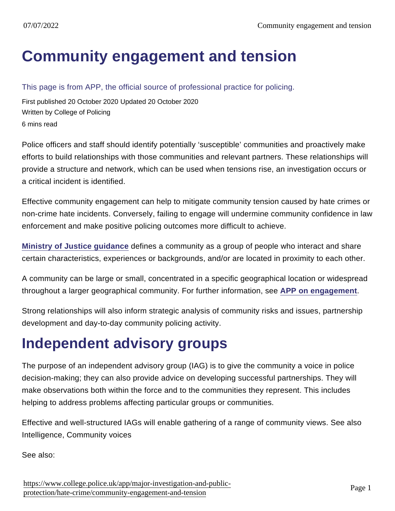## [Community engagement and tension](https://www.college.police.uk/app/major-investigation-and-public-protection/hate-crime/community-engagement-and-tension)

This page is from APP, the official source of professional practice for policing.

First published 20 October 2020 Updated 20 October 2020 Written by College of Policing 6 mins read

Police officers and staff should identify potentially 'susceptible' communities and proactively make efforts to build relationships with those communities and relevant partners. These relationships will provide a structure and network, which can be used when tensions rise, an investigation occurs or a critical incident is identified.

Effective community engagement can help to mitigate community tension caused by hate crimes or non-crime hate incidents. Conversely, failing to engage will undermine community confidence in law enforcement and make positive policing outcomes more difficult to achieve.

[Ministry of Justice guidance](https://www.cps.gov.uk/legal-guidance/community-impact-statements-and-their-use-hate-crime-cases) defines a community as a group of people who interact and share certain characteristics, experiences or backgrounds, and/or are located in proximity to each other.

A community can be large or small, concentrated in a specific geographical location or widespread throughout a larger geographical community. For further information, see [APP on engagement](https://www.app.college.police.uk/app-content/engagement-and-communication/engaging-with-communities/) .

Strong relationships will also inform strategic analysis of community risks and issues, partnership development and day-to-day community policing activity.

### Independent advisory groups

The purpose of an independent advisory group (IAG) is to give the community a voice in police decision-making; they can also provide advice on developing successful partnerships. They will make observations both within the force and to the communities they represent. This includes helping to address problems affecting particular groups or communities.

Effective and well-structured IAGs will enable gathering of a range of community views. See also Intelligence, Community voices

See also: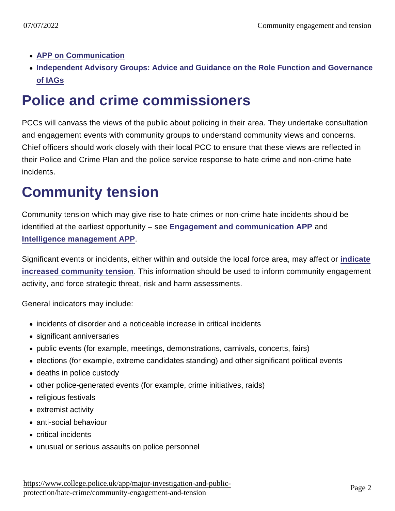- [APP on Communication](https://www.app.college.police.uk/app-content/engagement-and-communication/)
- [Independent Advisory Groups: Advice and Guidance on the Role Function and Governance](https://www.app.college.police.uk/app-content/engagement-and-communication/communications/#independent-advisory-groups) [of IAGs](https://www.app.college.police.uk/app-content/engagement-and-communication/communications/#independent-advisory-groups)

## Police and crime commissioners

PCCs will canvass the views of the public about policing in their area. They undertake consultation and engagement events with community groups to understand community views and concerns. Chief officers should work closely with their local PCC to ensure that these views are reflected in their Police and Crime Plan and the police service response to hate crime and non-crime hate incidents.

# Community tension

Community tension which may give rise to hate crimes or non-crime hate incidents should be identified at the earliest opportunity – see [Engagement and communication APP](https://www.app.college.police.uk/app-content/engagement-and-communication/engaging-with-communities/) and [Intelligence management APP](https://www.app.college.police.uk/app-content/intelligence-management/?s=) .

Significant events or incidents, either within and outside the local force area, may affect or [indicate](https://www.app.college.police.uk/app-content/critical-incident-management/phase-2-managing-critical-incidents/#identification) [increased community tension](https://www.app.college.police.uk/app-content/critical-incident-management/phase-2-managing-critical-incidents/#identification) . This information should be used to inform community engagement activity, and force strategic threat, risk and harm assessments.

General indicators may include:

- incidents of disorder and a noticeable increase in critical incidents
- significant anniversaries
- public events (for example, meetings, demonstrations, carnivals, concerts, fairs)
- elections (for example, extreme candidates standing) and other significant political events
- deaths in police custody
- other police-generated events (for example, crime initiatives, raids)
- religious festivals
- extremist activity
- anti-social behaviour
- critical incidents
- unusual or serious assaults on police personnel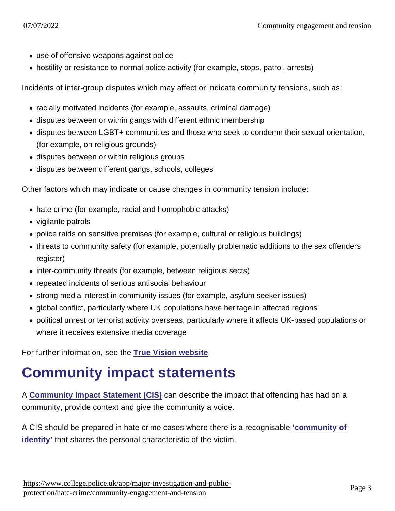- use of offensive weapons against police
- hostility or resistance to normal police activity (for example, stops, patrol, arrests)

Incidents of inter-group disputes which may affect or indicate community tensions, such as:

- racially motivated incidents (for example, assaults, criminal damage)
- disputes between or within gangs with different ethnic membership
- disputes between LGBT+ communities and those who seek to condemn their sexual orientation, (for example, on religious grounds)
- disputes between or within religious groups
- disputes between different gangs, schools, colleges

Other factors which may indicate or cause changes in community tension include:

- hate crime (for example, racial and homophobic attacks)
- vigilante patrols
- police raids on sensitive premises (for example, cultural or religious buildings)
- threats to community safety (for example, potentially problematic additions to the sex offenders register)
- inter-community threats (for example, between religious sects)
- repeated incidents of serious antisocial behaviour
- strong media interest in community issues (for example, asylum seeker issues)
- global conflict, particularly where UK populations have heritage in affected regions
- political unrest or terrorist activity overseas, particularly where it affects UK-based populations or where it receives extensive media coverage

For further information, see the [True Vision website](http://www.report-it.org.uk/hate_crime_data1) .

### Community impact statements

A [Community Impact Statement \(CIS\)](https://www.cps.gov.uk/legal-guidance/community-impact-statements-adult-ministry-justice-guidance) can describe the impact that offending has had on a community, provide context and give the community a voice.

A CIS should be prepared in hate crime cases where there is a recognisable ['community of](https://www.cps.gov.uk/legal-guidance/community-impact-statements-adult-ministry-justice-guidance) [identity'](https://www.cps.gov.uk/legal-guidance/community-impact-statements-adult-ministry-justice-guidance) that shares the personal characteristic of the victim.